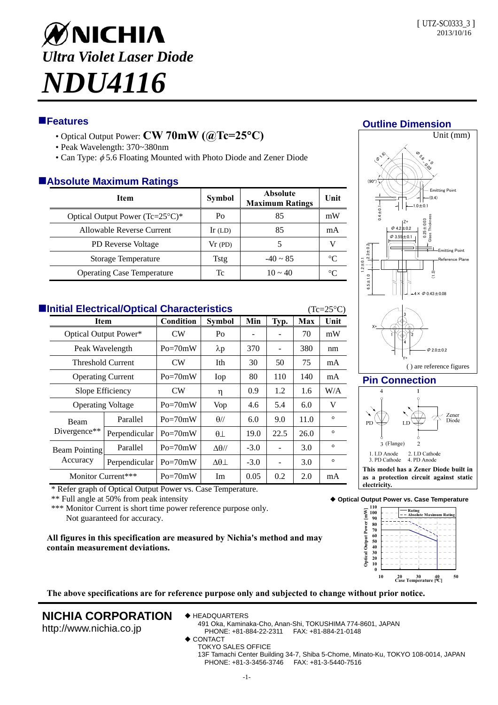

# **Features**

- Optical Output Power: **CW 70mW (@Tc=25C)**
- Peak Wavelength: 370~380nm
- Can Type:  $\phi$  5.6 Floating Mounted with Photo Diode and Zener Diode

## **Absolute Maximum Ratings**

| --                                |               |                                           |         |  |  |  |  |  |  |
|-----------------------------------|---------------|-------------------------------------------|---------|--|--|--|--|--|--|
| Item                              | <b>Symbol</b> | <b>Absolute</b><br><b>Maximum Ratings</b> | Unit    |  |  |  |  |  |  |
| Optical Output Power (Tc=25°C)*   | Po            | 85                                        | mW      |  |  |  |  |  |  |
| Allowable Reverse Current         | Ir $(LD)$     | 85                                        | mA      |  |  |  |  |  |  |
| <b>PD</b> Reverse Voltage         | $Vr$ (PD)     |                                           |         |  |  |  |  |  |  |
| Storage Temperature               | Tstg          | $-40 \sim 85$                             | °∩      |  |  |  |  |  |  |
| <b>Operating Case Temperature</b> | Tc            | $10 \approx 40$                           | $\circ$ |  |  |  |  |  |  |

| <b>Elnitial Electrical/Optical Characteristics</b><br>$(Tc=25^{\circ}C)$ |                                         |               |                |                     |        |      |            |         |  |  |  |
|--------------------------------------------------------------------------|-----------------------------------------|---------------|----------------|---------------------|--------|------|------------|---------|--|--|--|
|                                                                          | <b>Item</b>                             |               | Condition      | <b>Symbol</b>       | Min    | Typ. | <b>Max</b> | Unit    |  |  |  |
|                                                                          | Optical Output Power*                   |               | CW <sub></sub> | Po                  |        |      | 70         | mW      |  |  |  |
|                                                                          | Peak Wavelength                         |               | $Po = 70mW$    | $\lambda p$         | 370    |      | 380        | nm      |  |  |  |
|                                                                          | <b>Threshold Current</b>                |               | CW             | Ith                 | 30     | 50   | 75         | mA      |  |  |  |
|                                                                          | <b>Operating Current</b>                |               | $Po = 70mW$    | Iop                 | 80     | 110  | 140        | mA      |  |  |  |
|                                                                          | Slope Efficiency                        |               | CW <sub></sub> | η                   | 0.9    | 1.2  | 1.6        | W/A     |  |  |  |
|                                                                          | <b>Operating Voltage</b>                |               | $Po = 70mW$    | Vop                 | 4.6    | 5.4  | 6.0        | V       |  |  |  |
|                                                                          | <b>Beam</b><br>Divergence <sup>**</sup> | Parallel      | $Po = 70mW$    | $\theta$ //         | 6.0    | 9.0  | 11.0       | $\circ$ |  |  |  |
|                                                                          |                                         | Perpendicular | $Po = 70mW$    | $\theta\perp$       | 19.0   | 22.5 | 26.0       | $\circ$ |  |  |  |
|                                                                          | Beam Pointing<br>Accuracy               | Parallel      | $Po = 70mW$    | $\Delta\theta$ //   | $-3.0$ |      | 3.0        | $\circ$ |  |  |  |
|                                                                          |                                         | Perpendicular | $Po = 70mW$    | $\Delta\theta\perp$ | $-3.0$ |      | 3.0        | $\circ$ |  |  |  |
|                                                                          | Monitor Current***                      |               | $Po = 70mW$    | Im                  | 0.05   | 0.2  | 2.0        | mA      |  |  |  |

\* Refer graph of Optical Output Power vs. Case Temperature.

\*\* Full angle at 50% from peak intensity

\*\*\* Monitor Current is short time power reference purpose only. Not guaranteed for accuracy.

**All figures in this specification are measured by Nichia's method and may contain measurement deviations.**



**Outline Dimension**



### **Pin Connection**

Y+



( ) are reference figures

**Optical Output Power vs. Case Temperature**



**The above specifications are for reference purpose only and subjected to change without prior notice.** 

# **NICHIA CORPORATION**

http://www.nichia.co.jp

◆ HEADQUARTERS

491 Oka, Kaminaka-Cho, Anan-Shi, TOKUSHIMA 774-8601, JAPAN PHONE: +81-884-22-2311 FAX: +81-884-21-0148

- CONTACT
	- TOKYO SALES OFFICE

13F Tamachi Center Building 34-7, Shiba 5-Chome, Minato-Ku, TOKYO 108-0014, JAPAN PHONE: +81-3-3456-3746 FAX: +81-3-5440-7516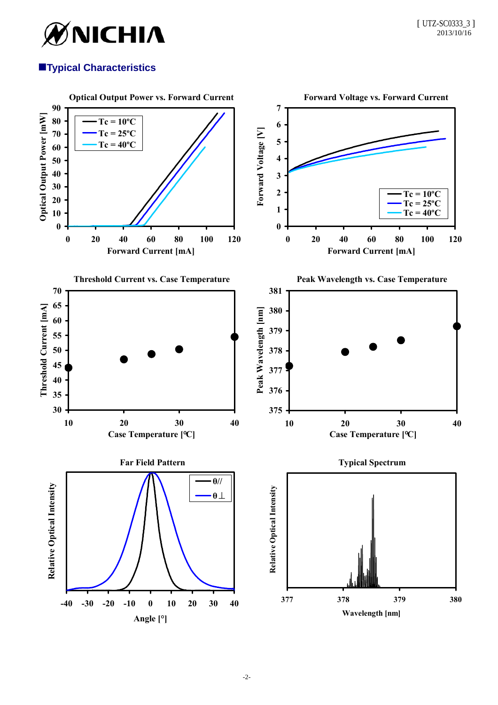

# **Typical Characteristics**